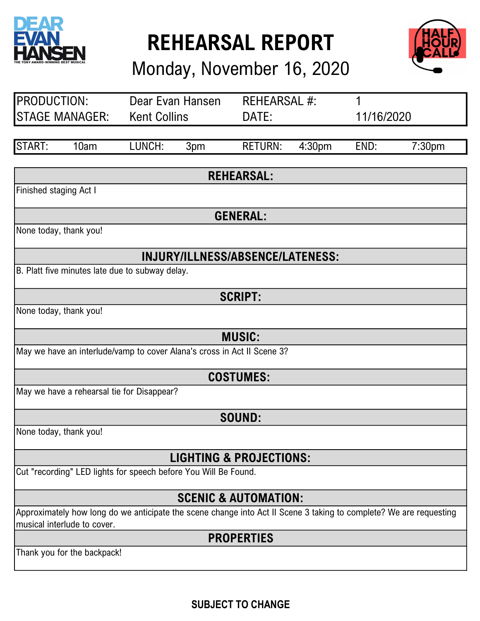

REHEARSAL REPORT

Monday, November 16, 2020



| PRODUCTION:<br>Dear Evan Hansen                                                                                    |                                                                         | REHEARSAL #: |     |                                  |        |      |                    |
|--------------------------------------------------------------------------------------------------------------------|-------------------------------------------------------------------------|--------------|-----|----------------------------------|--------|------|--------------------|
| <b>STAGE MANAGER:</b><br><b>Kent Collins</b><br>DATE:                                                              |                                                                         | 11/16/2020   |     |                                  |        |      |                    |
|                                                                                                                    |                                                                         |              |     |                                  |        |      |                    |
| START:                                                                                                             | 10am                                                                    | LUNCH:       | 3pm | <b>RETURN:</b>                   | 4:30pm | END: | 7:30 <sub>pm</sub> |
|                                                                                                                    |                                                                         |              |     |                                  |        |      |                    |
|                                                                                                                    |                                                                         |              |     | <b>REHEARSAL:</b>                |        |      |                    |
| Finished staging Act I                                                                                             |                                                                         |              |     |                                  |        |      |                    |
|                                                                                                                    |                                                                         |              |     | <b>GENERAL:</b>                  |        |      |                    |
|                                                                                                                    | None today, thank you!                                                  |              |     |                                  |        |      |                    |
|                                                                                                                    |                                                                         |              |     |                                  |        |      |                    |
|                                                                                                                    |                                                                         |              |     | INJURY/ILLNESS/ABSENCE/LATENESS: |        |      |                    |
|                                                                                                                    | B. Platt five minutes late due to subway delay.                         |              |     |                                  |        |      |                    |
|                                                                                                                    |                                                                         |              |     | <b>SCRIPT:</b>                   |        |      |                    |
|                                                                                                                    | None today, thank you!                                                  |              |     |                                  |        |      |                    |
|                                                                                                                    |                                                                         |              |     |                                  |        |      |                    |
|                                                                                                                    | <b>MUSIC:</b>                                                           |              |     |                                  |        |      |                    |
|                                                                                                                    | May we have an interlude/vamp to cover Alana's cross in Act II Scene 3? |              |     |                                  |        |      |                    |
|                                                                                                                    | <b>COSTUMES:</b>                                                        |              |     |                                  |        |      |                    |
|                                                                                                                    | May we have a rehearsal tie for Disappear?                              |              |     |                                  |        |      |                    |
|                                                                                                                    |                                                                         |              |     |                                  |        |      |                    |
|                                                                                                                    | <b>SOUND:</b>                                                           |              |     |                                  |        |      |                    |
|                                                                                                                    | None today, thank you!                                                  |              |     |                                  |        |      |                    |
| <b>LIGHTING &amp; PROJECTIONS:</b>                                                                                 |                                                                         |              |     |                                  |        |      |                    |
| Cut "recording" LED lights for speech before You Will Be Found.                                                    |                                                                         |              |     |                                  |        |      |                    |
|                                                                                                                    |                                                                         |              |     |                                  |        |      |                    |
| <b>SCENIC &amp; AUTOMATION:</b>                                                                                    |                                                                         |              |     |                                  |        |      |                    |
| Approximately how long do we anticipate the scene change into Act II Scene 3 taking to complete? We are requesting |                                                                         |              |     |                                  |        |      |                    |
|                                                                                                                    | musical interlude to cover.<br><b>PROPERTIES</b>                        |              |     |                                  |        |      |                    |
|                                                                                                                    | Thank you for the backpack!                                             |              |     |                                  |        |      |                    |
|                                                                                                                    |                                                                         |              |     |                                  |        |      |                    |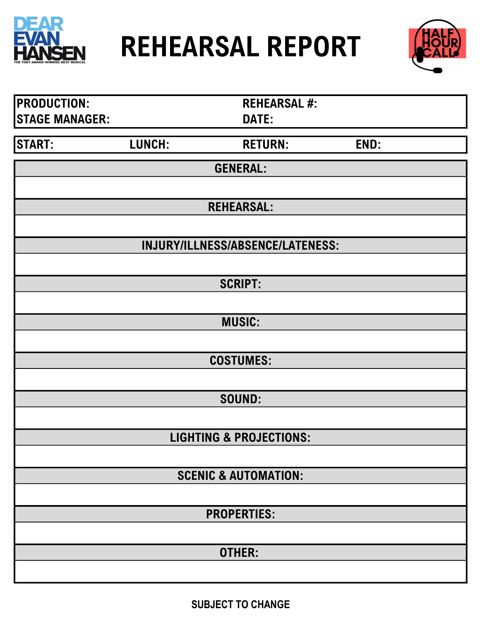



| <b>PRODUCTION:</b>    |        | <b>REHEARSAL #:</b>                |      |  |
|-----------------------|--------|------------------------------------|------|--|
| <b>STAGE MANAGER:</b> |        | DATE:                              |      |  |
| <b>START:</b>         | LUNCH: | <b>RETURN:</b>                     | END: |  |
|                       |        | <b>GENERAL:</b>                    |      |  |
|                       |        |                                    |      |  |
|                       |        | <b>REHEARSAL:</b>                  |      |  |
|                       |        |                                    |      |  |
|                       |        | INJURY/ILLNESS/ABSENCE/LATENESS:   |      |  |
|                       |        | <b>SCRIPT:</b>                     |      |  |
|                       |        |                                    |      |  |
|                       |        | <b>MUSIC:</b>                      |      |  |
|                       |        |                                    |      |  |
|                       |        | <b>COSTUMES:</b>                   |      |  |
|                       |        | SOUND:                             |      |  |
|                       |        |                                    |      |  |
|                       |        | <b>LIGHTING &amp; PROJECTIONS:</b> |      |  |
|                       |        |                                    |      |  |
|                       |        | <b>SCENIC &amp; AUTOMATION:</b>    |      |  |
|                       |        |                                    |      |  |
|                       |        | <b>PROPERTIES:</b>                 |      |  |
|                       |        | OTHER:                             |      |  |
|                       |        |                                    |      |  |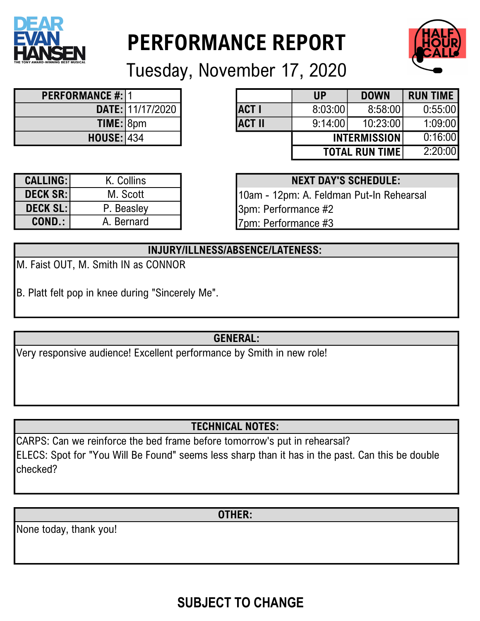

# PERFORMANCE REPORT



Tuesday, November 17, 2020

| <b>PERFORMANCE #: 1</b> |                  |
|-------------------------|------------------|
|                         | DATE: 11/17/2020 |
| TIME: 8pm               |                  |
| <b>HOUSE: 434</b>       |                  |

| ANCE #: 11        |                  |               | <b>UP</b> | <b>DOWN</b>            | <b>RUN TIME</b> |
|-------------------|------------------|---------------|-----------|------------------------|-----------------|
|                   | DATE: 11/17/2020 | <b>ACT I</b>  | 8:03:00   | 8:58:00                | 0:55:00         |
| TIME: 8pm         |                  | <b>ACT II</b> | 9:14:00   | 10:23:00               | 1:09:00         |
| <b>HOUSE: 434</b> |                  |               |           | <b>INTERMISSION</b>    | 0:16:00         |
|                   |                  |               |           | <b>TOTAL RUN TIME!</b> | 2:20:00         |

| <b>CALLING:</b> | K. Collins |
|-----------------|------------|
| <b>DECK SR:</b> | M. Scott   |
| <b>DECK SL:</b> | P. Beasley |
| <b>COND.:</b>   | A. Bernard |
|                 |            |

| K. Collins |  | <b>NEXT DAY'S SCHEDULE:</b> |
|------------|--|-----------------------------|
|------------|--|-----------------------------|

10am - 12pm: A. Feldman Put-In Rehearsal 3pm: Performance #2 7pm: Performance #3

#### INJURY/ILLNESS/ABSENCE/LATENESS:

- M. Faist OUT, M. Smith IN as CONNOR
- B. Platt felt pop in knee during "Sincerely Me".

#### GENERAL:

Very responsive audience! Excellent performance by Smith in new role!

## TECHNICAL NOTES:

CARPS: Can we reinforce the bed frame before tomorrow's put in rehearsal? ELECS: Spot for "You Will Be Found" seems less sharp than it has in the past. Can this be double checked?

OTHER:

None today, thank you!